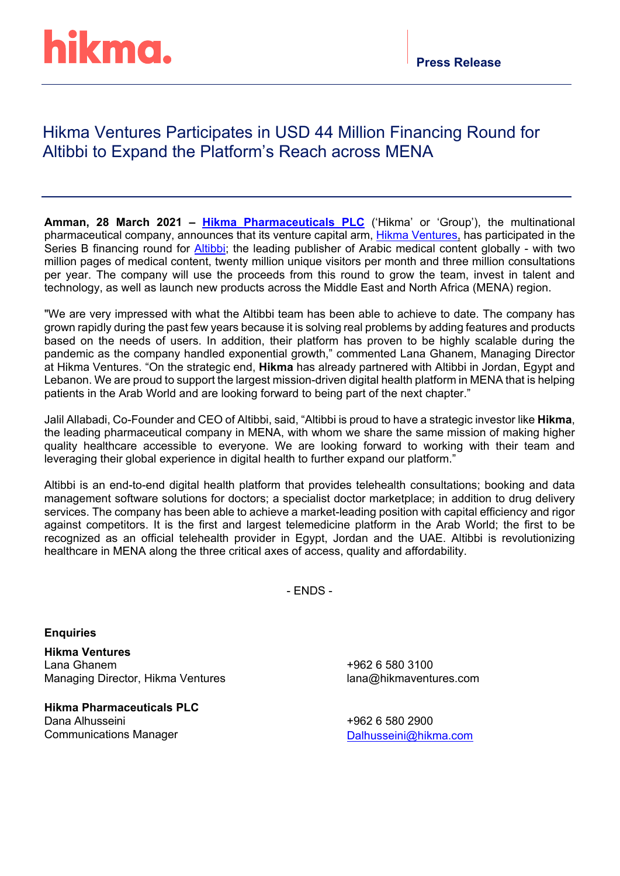# hikma.

## Hikma Ventures Participates in USD 44 Million Financing Round for Altibbi to Expand the Platform's Reach across MENA

**Amman, 28 March 2021 – [Hikma Pharmaceuticals](https://www.hikma.com/home/) PLC** ('Hikma' or 'Group'), the multinational pharmaceutical company, announces that its venture capital arm, [Hikma Ventures,](https://www.hikmaventures.com/home/) has participated in the Series B financing round for [Altibbi;](https://altibbi.com/) the leading publisher of Arabic medical content globally - with two million pages of medical content, twenty million unique visitors per month and three million consultations per year. The company will use the proceeds from this round to grow the team, invest in talent and technology, as well as launch new products across the Middle East and North Africa (MENA) region.

"We are very impressed with what the Altibbi team has been able to achieve to date. The company has grown rapidly during the past few years because it is solving real problems by adding features and products based on the needs of users. In addition, their platform has proven to be highly scalable during the pandemic as the company handled exponential growth," commented Lana Ghanem, Managing Director at Hikma Ventures. "On the strategic end, **Hikma** has already partnered with Altibbi in Jordan, Egypt and Lebanon. We are proud to support the largest mission-driven digital health platform in MENA that is helping patients in the Arab World and are looking forward to being part of the next chapter."

Jalil Allabadi, Co-Founder and CEO of Altibbi, said, "Altibbi is proud to have a strategic investor like **Hikma**, the leading pharmaceutical company in MENA, with whom we share the same mission of making higher quality healthcare accessible to everyone. We are looking forward to working with their team and leveraging their global experience in digital health to further expand our platform."

Altibbi is an end-to-end digital health platform that provides telehealth consultations; booking and data management software solutions for doctors; a specialist doctor marketplace; in addition to drug delivery services. The company has been able to achieve a market-leading position with capital efficiency and rigor against competitors. It is the first and largest telemedicine platform in the Arab World; the first to be recognized as an official telehealth provider in Egypt, Jordan and the UAE. Altibbi is revolutionizing healthcare in MENA along the three critical axes of access, quality and affordability.

- ENDS -

### **Enquiries**

**Hikma Ventures** Lana Ghanem Managing Director, Hikma Ventures

**Hikma Pharmaceuticals PLC** Dana Alhusseini Communications Manager

+962 6 580 3100 lana@hikmaventures.com

+962 6 580 2900 [Dalhusseini@hikma.com](mailto:Dalhusseini@hikma.com)